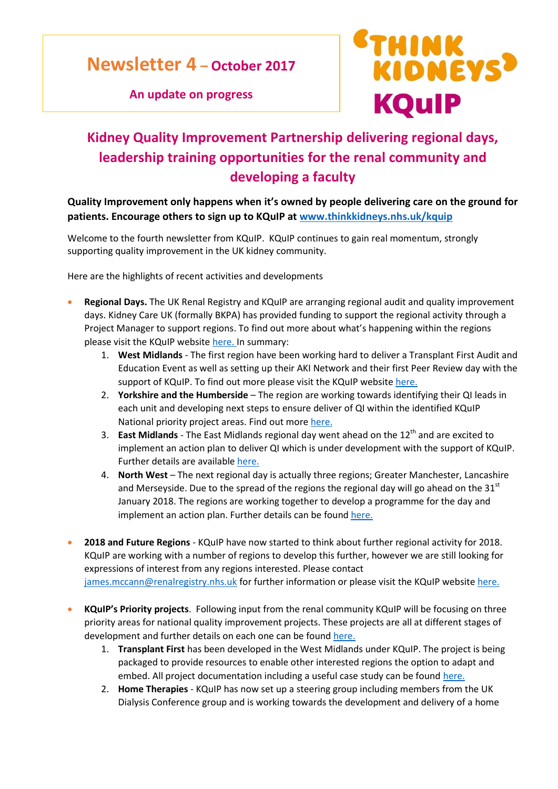**Newsletter 4 – October 2017** 

**An update on progress** 



## **Kidney Quality Improvement Partnership delivering regional days, leadership training opportunities for the renal community and developing a faculty**

## **Quality Improvement only happens when it's owned by people delivering care on the ground for patients. Encourage others to sign up to KQuIP at [www.thinkkidneys.nhs.uk/kquip](http://www.thinkkidneys.nhs.uk/kquip)**

Welcome to the fourth newsletter from KQuIP. KQuIP continues to gain real momentum, strongly supporting quality improvement in the UK kidney community.

Here are the highlights of recent activities and developments

- **Regional Days.** The UK Renal Registry and KQuIP are arranging regional audit and quality improvement days. Kidney Care UK (formally BKPA) has provided funding to support the regional activity through a Project Manager to support regions. To find out more about what's happening within the regions please visit the KQuIP websit[e here.](https://www.thinkkidneys.nhs.uk/kquip/about-us/kquip-regional-activity/) In summary:
	- 1. **West Midlands** The first region have been working hard to deliver a Transplant First Audit and Education Event as well as setting up their AKI Network and their first Peer Review day with the support of KQuIP. To find out more please visit the KQuIP website [here.](https://www.thinkkidneys.nhs.uk/kquip/west-midlands/)
	- 2. **Yorkshire and the Humberside** The region are working towards identifying their QI leads in each unit and developing next steps to ensure deliver of QI within the identified KQuIP National priority project areas. Find out mor[e here.](https://www.thinkkidneys.nhs.uk/kquip/yorkshireandhumber/)
	- 3. **East Midlands** The East Midlands regional day went ahead on the 12<sup>th</sup> and are excited to implement an action plan to deliver QI which is under development with the support of KQuIP. Further details are available [here.](https://www.thinkkidneys.nhs.uk/kquip/east-midlands/)
	- 4. **North West** The next regional day is actually three regions; Greater Manchester, Lancashire and Merseyside. Due to the spread of the regions the regional day will go ahead on the  $31<sup>st</sup>$ January 2018. The regions are working together to develop a programme for the day and implement an action plan. Further details can be foun[d here.](https://www.thinkkidneys.nhs.uk/kquip/north-west/)
- **2018 and Future Regions** KQuIP have now started to think about further regional activity for 2018. KQuIP are working with a number of regions to develop this further, however we are still looking for expressions of interest from any regions interested. Please contact [james.mccann@renalregistry.nhs.uk](mailto:james.mccann@renalregistry.nhs.uk) for further information or please visit the KQuIP websit[e here.](https://www.thinkkidneys.nhs.uk/kquip/about-us/kquip-regional-activity/)
- **KQuIP's Priority projects**. Following input from the renal community KQuIP will be focusing on three priority areas for national quality improvement projects. These projects are all at different stages of development and further details on each one can be found [here.](https://www.thinkkidneys.nhs.uk/kquip/about-us/kquip-national-projects/)
	- 1. **Transplant First** has been developed in the West Midlands under KQuIP. The project is being packaged to provide resources to enable other interested regions the option to adapt and embed. All project documentation including a useful case study can be foun[d here.](https://www.thinkkidneys.nhs.uk/kquip/transplant-first/)
	- 2. **Home Therapies** KQuIP has now set up a steering group including members from the UK Dialysis Conference group and is working towards the development and delivery of a home